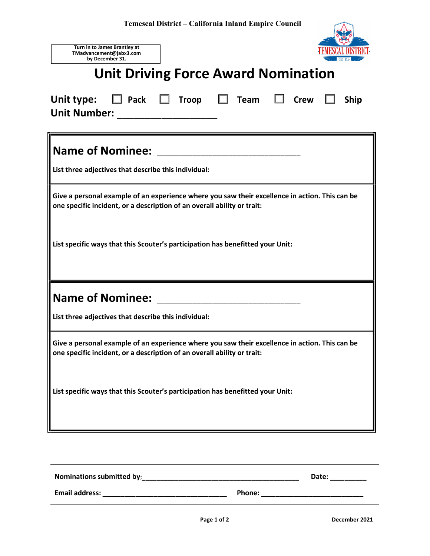| Turn in to James Brantley at<br>TMadvancement@jabx3.com<br>by December 31.                                                                                                |
|---------------------------------------------------------------------------------------------------------------------------------------------------------------------------|
| <b>Unit Driving Force Award Nomination</b>                                                                                                                                |
| $\Box$ Pack $\Box$ Troop $\Box$ Team $\Box$<br>Unit type:<br><b>Crew</b><br><b>Ship</b><br>Unit Number: ___________________                                               |
| List three adjectives that describe this individual:                                                                                                                      |
| Give a personal example of an experience where you saw their excellence in action. This can be<br>one specific incident, or a description of an overall ability or trait: |
| List specific ways that this Scouter's participation has benefitted your Unit:                                                                                            |
|                                                                                                                                                                           |
| List three adjectives that describe this individual:                                                                                                                      |
| Give a personal example of an experience where you saw their excellence in action. This can be<br>one specific incident, or a description of an overall ability or trait: |
| List specific ways that this Scouter's participation has benefitted your Unit:                                                                                            |

| <b>Nominations submitted by:</b> | Date:  |
|----------------------------------|--------|
| <b>Email address:</b>            | Phone: |